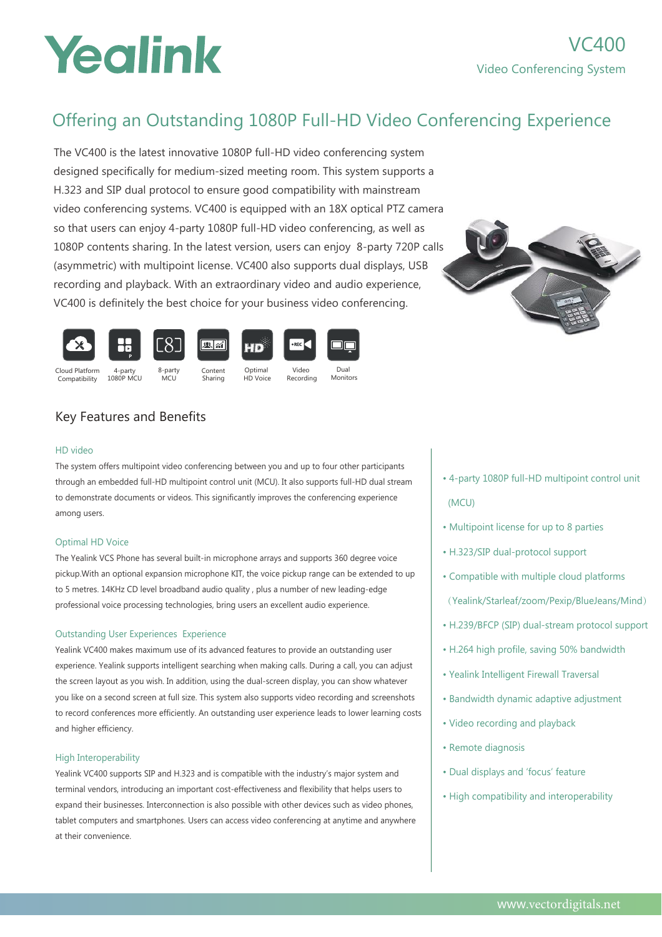# Yealink

### Offering an Outstanding 1080P Full-HD Video Conferencing Experience

The VC400 is the latest innovative 1080P full-HD video conferencing system designed specifically for medium-sized meeting room. This system supports a H.323 and SIP dual protocol to ensure good compatibility with mainstream video conferencing systems. VC400 is equipped with an 18X optical PTZ camera so that users can enjoy 4-party 1080P full-HD video conferencing, as well as 1080P contents sharing. In the latest version, users can enjoy 8-party 720P calls (asymmetric) with multipoint license. VC400 also supports dual displays, USB recording and playback. With an extraordinary video and audio experience, VC400 is definitely the best choice for your business video conferencing.





Sharing



8-party MCU

Optimal HD Voice

Recording

Dual Monitors

### Key Features and Benefits

#### HD video

The system offers multipoint video conferencing between you and up to four other participants through an embedded full-HD multipoint control unit (MCU). It also supports full-HD dual stream to demonstrate documents or videos. This significantly improves the conferencing experience among users.

#### Optimal HD Voice

The Yealink VCS Phone has several built-in microphone arrays and supports 360 degree voice pickup.With an optional expansion microphone KIT, the voice pickup range can be extended to up to 5 metres. 14KHz CD level broadband audio quality , plus a number of new leading-edge professional voice processing technologies, bring users an excellent audio experience.

#### Outstanding User Experiences Experience

Yealink VC400 makes maximum use of its advanced features to provide an outstanding user experience. Yealink supports intelligent searching when making calls. During a call, you can adjust the screen layout as you wish. In addition, using the dual-screen display, you can show whatever you like on a second screen at full size. This system also supports video recording and screenshots to record conferences more efficiently. An outstanding user experience leads to lower learning costs and higher efficiency.

#### High Interoperability

Yealink VC400 supports SIP and H.323 and is compatible with the industry's major system and terminal vendors, introducing an important cost-effectiveness and flexibility that helps users to expand their businesses. Interconnection is also possible with other devices such as video phones, tablet computers and smartphones. Users can access video conferencing at anytime and anywhere at their convenience.

- 4-party 1080P full-HD multipoint control unit
	-

(MCU)

- Multipoint license for up to 8 parties
- H.323/SIP dual-protocol support
- Compatible with multiple cloud platforms (Yealink/Starleaf/zoom/Pexip/BlueJeans/Mind)
- H.239/BFCP (SIP) dual-stream protocol support
- H.264 high profile, saving 50% bandwidth
- Yealink Intelligent Firewall Traversal
- Bandwidth dynamic adaptive adjustment
- Video recording and playback
- Remote diagnosis
- Dual displays and 'focus' feature
- High compatibility and interoperability